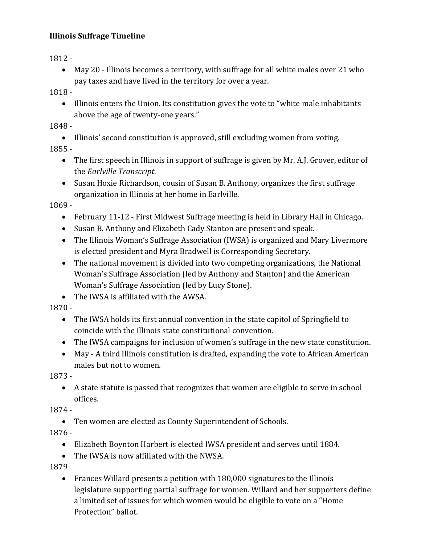## **Illinois Suffrage Timeline**

1812 -

 May 20 - Illinois becomes a territory, with suffrage for all white males over 21 who pay taxes and have lived in the territory for over a year.

1818 -

• Illinois enters the Union. Its constitution gives the vote to "white male inhabitants" above the age of twenty-one years."

1848 -

Illinois' second constitution is approved, still excluding women from voting.

1855 -

- The first speech in Illinois in support of suffrage is given by Mr. A.J. Grover, editor of the *Earlville Transcript*.
- Susan Hoxie Richardson, cousin of Susan B. Anthony, organizes the first suffrage organization in Illinois at her home in Earlville.

1869 -

- February 11-12 First Midwest Suffrage meeting is held in Library Hall in Chicago.
- Susan B. Anthony and Elizabeth Cady Stanton are present and speak.
- The Illinois Woman's Suffrage Association (IWSA) is organized and Mary Livermore is elected president and Myra Bradwell is Corresponding Secretary.
- The national movement is divided into two competing organizations, the National Woman's Suffrage Association (led by Anthony and Stanton) and the American Woman's Suffrage Association (led by Lucy Stone).
- The IWSA is affiliated with the AWSA.

1870 -

- The IWSA holds its first annual convention in the state capitol of Springfield to coincide with the Illinois state constitutional convention.
- The IWSA campaigns for inclusion of women's suffrage in the new state constitution.
- May A third Illinois constitution is drafted, expanding the vote to African American males but not to women.

1873 -

 A state statute is passed that recognizes that women are eligible to serve in school offices.

1874 -

Ten women are elected as County Superintendent of Schools.

1876 -

- Elizabeth Boynton Harbert is elected IWSA president and serves until 1884.
- The IWSA is now affiliated with the NWSA.

1879

 Frances Willard presents a petition with 180,000 signatures to the Illinois legislature supporting partial suffrage for women. Willard and her supporters define a limited set of issues for which women would be eligible to vote on a "Home Protection" ballot.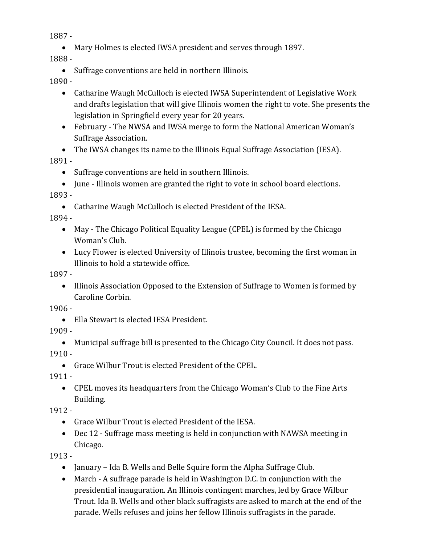1887 -

Mary Holmes is elected IWSA president and serves through 1897.

1888 -

• Suffrage conventions are held in northern Illinois.

1890 -

- Catharine Waugh McCulloch is elected IWSA Superintendent of Legislative Work and drafts legislation that will give Illinois women the right to vote. She presents the legislation in Springfield every year for 20 years.
- February The NWSA and IWSA merge to form the National American Woman's Suffrage Association.

 The IWSA changes its name to the Illinois Equal Suffrage Association (IESA). 1891 -

Suffrage conventions are held in southern Illinois.

• June - Illinois women are granted the right to vote in school board elections. 1893 -

Catharine Waugh McCulloch is elected President of the IESA.

1894 -

- May The Chicago Political Equality League (CPEL) is formed by the Chicago Woman's Club.
- Lucy Flower is elected University of Illinois trustee, becoming the first woman in Illinois to hold a statewide office.

1897 -

 Illinois Association Opposed to the Extension of Suffrage to Women is formed by Caroline Corbin.

1906 -

Ella Stewart is elected IESA President.

1909 -

- Municipal suffrage bill is presented to the Chicago City Council. It does not pass.  $1910 -$ 
	- Grace Wilbur Trout is elected President of the CPEL.

1911 -

 CPEL moves its headquarters from the Chicago Woman's Club to the Fine Arts Building.

1912 -

- Grace Wilbur Trout is elected President of the IESA.
- Dec 12 Suffrage mass meeting is held in conjunction with NAWSA meeting in Chicago.

1913 -

- January Ida B. Wells and Belle Squire form the Alpha Suffrage Club.
- March A suffrage parade is held in Washington D.C. in conjunction with the presidential inauguration. An Illinois contingent marches, led by Grace Wilbur Trout. Ida B. Wells and other black suffragists are asked to march at the end of the parade. Wells refuses and joins her fellow Illinois suffragists in the parade.